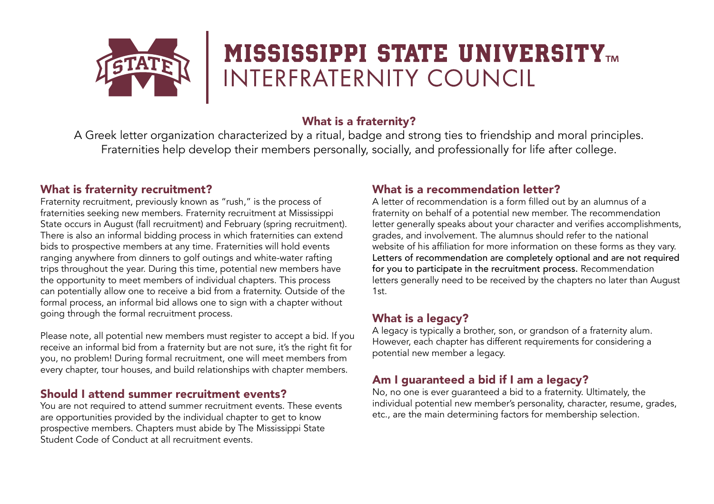

# **MISSISSIPPI STATE UNIVERSITYTM** INTERFRATERNITY COUNCIL

## What is a fraternity?

A Greek letter organization characterized by a ritual, badge and strong ties to friendship and moral principles. Fraternities help develop their members personally, socially, and professionally for life after college.

### What is fraternity recruitment?

Fraternity recruitment, previously known as "rush," is the process of fraternities seeking new members. Fraternity recruitment at Mississippi State occurs in August (fall recruitment) and February (spring recruitment). There is also an informal bidding process in which fraternities can extend bids to prospective members at any time. Fraternities will hold events ranging anywhere from dinners to golf outings and white-water rafting trips throughout the year. During this time, potential new members have the opportunity to meet members of individual chapters. This process can potentially allow one to receive a bid from a fraternity. Outside of the formal process, an informal bid allows one to sign with a chapter without going through the formal recruitment process.

Please note, all potential new members must register to accept a bid. If you receive an informal bid from a fraternity but are not sure, it's the right fit for you, no problem! During formal recruitment, one will meet members from every chapter, tour houses, and build relationships with chapter members.

#### Should I attend summer recruitment events?

You are not required to attend summer recruitment events. These events are opportunities provided by the individual chapter to get to know prospective members. Chapters must abide by The Mississippi State Student Code of Conduct at all recruitment events.

## What is a recommendation letter?

A letter of recommendation is a form filled out by an alumnus of a fraternity on behalf of a potential new member. The recommendation letter generally speaks about your character and verifies accomplishments, grades, and involvement. The alumnus should refer to the national website of his affiliation for more information on these forms as they vary. Letters of recommendation are completely optional and are not required for you to participate in the recruitment process. Recommendation letters generally need to be received by the chapters no later than August 1st.

# What is a legacy?

A legacy is typically a brother, son, or grandson of a fraternity alum. However, each chapter has different requirements for considering a potential new member a legacy.

# Am I guaranteed a bid if I am a legacy?

No, no one is ever guaranteed a bid to a fraternity. Ultimately, the individual potential new member's personality, character, resume, grades, etc., are the main determining factors for membership selection.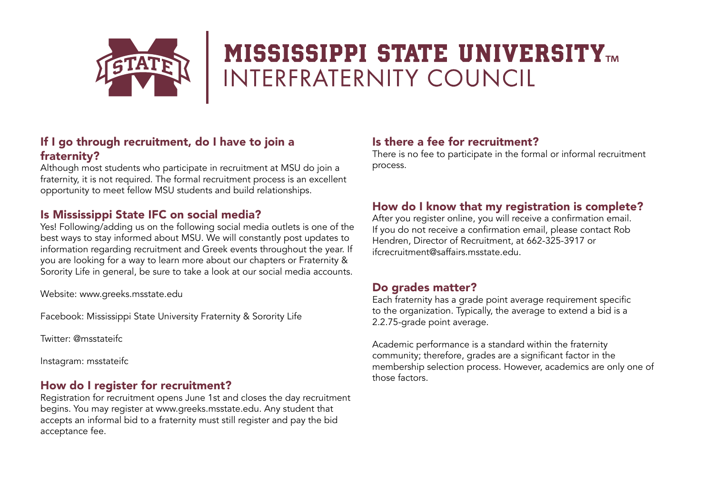

# **MISSISSIPPI STATE UNIVERSITYTM** INTERFRATERNITY COUNCIL

### If I go through recruitment, do I have to join a fraternity?

Although most students who participate in recruitment at MSU do join a fraternity, it is not required. The formal recruitment process is an excellent opportunity to meet fellow MSU students and build relationships.

## Is Mississippi State IFC on social media?

Yes! Following/adding us on the following social media outlets is one of the best ways to stay informed about MSU. We will constantly post updates to information regarding recruitment and Greek events throughout the year. If you are looking for a way to learn more about our chapters or Fraternity & Sorority Life in general, be sure to take a look at our social media accounts.

Website: www.greeks.msstate.edu

Facebook: Mississippi State University Fraternity & Sorority Life

Twitter: @msstateifc

Instagram: msstateifc

### How do I register for recruitment?

Registration for recruitment opens June 1st and closes the day recruitment begins. You may register at www.greeks.msstate.edu. Any student that accepts an informal bid to a fraternity must still register and pay the bid acceptance fee.

### Is there a fee for recruitment?

There is no fee to participate in the formal or informal recruitment process.

## How do I know that my registration is complete?

After you register online, you will receive a confirmation email. If you do not receive a confirmation email, please contact Rob Hendren, Director of Recruitment, at 662-325-3917 or ifcrecruitment@saffairs.msstate.edu.

### Do grades matter?

Each fraternity has a grade point average requirement specific to the organization. Typically, the average to extend a bid is a 2.2.75-grade point average.

Academic performance is a standard within the fraternity community; therefore, grades are a significant factor in the membership selection process. However, academics are only one of those factors.